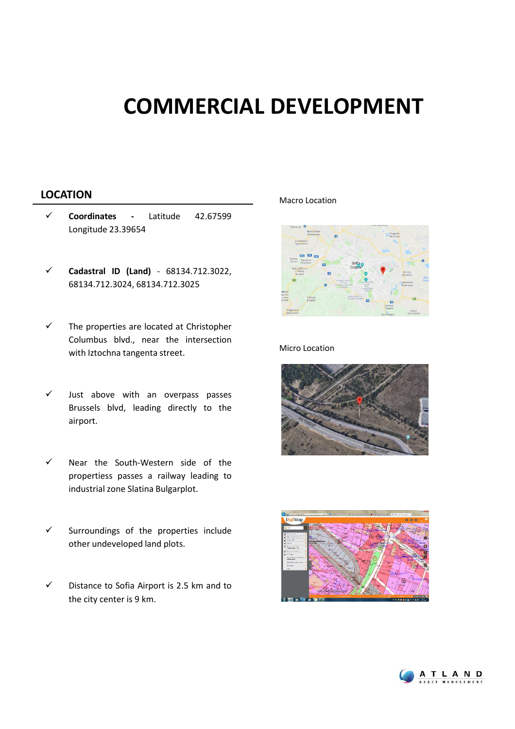## **COMMERCIAL DEVELOPMENT**

### **LOCATION** Macro Location

- **Coordinates -** Latitude 42.67599 Longitude 23.39654
- **Cadastral ID (Land)** 68134.712.3022, 68134.712.3024, 68134.712.3025
- $\checkmark$  The properties are located at Christopher Columbus blvd., near the intersection with Iztochna tangenta street.
- $\checkmark$  Just above with an overpass passes Brussels blvd, leading directly to the airport.
- Near the South-Western side of the propertiess passes a railway leading to industrial zone Slatina Bulgarplot.
- $\checkmark$  Surroundings of the properties include other undeveloped land plots.
- $\checkmark$  Distance to Sofia Airport is 2.5 km and to the city center is 9 km.



#### Micro Location